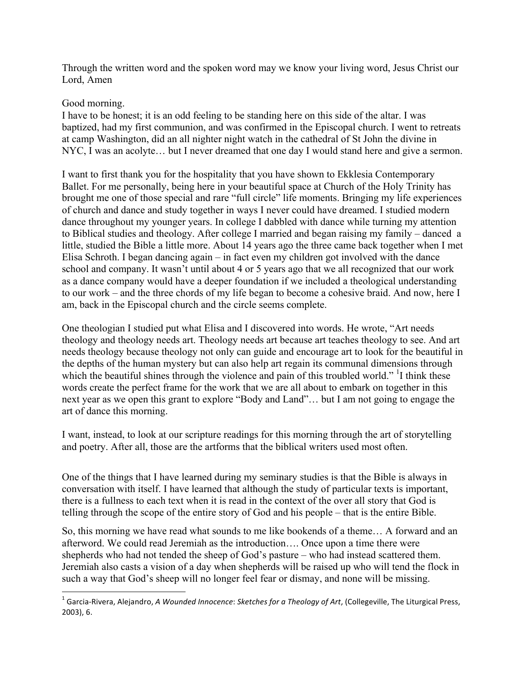Through the written word and the spoken word may we know your living word, Jesus Christ our Lord, Amen

## Good morning.

I have to be honest; it is an odd feeling to be standing here on this side of the altar. I was baptized, had my first communion, and was confirmed in the Episcopal church. I went to retreats at camp Washington, did an all nighter night watch in the cathedral of St John the divine in NYC, I was an acolyte… but I never dreamed that one day I would stand here and give a sermon.

I want to first thank you for the hospitality that you have shown to Ekklesia Contemporary Ballet. For me personally, being here in your beautiful space at Church of the Holy Trinity has brought me one of those special and rare "full circle" life moments. Bringing my life experiences of church and dance and study together in ways I never could have dreamed. I studied modern dance throughout my younger years. In college I dabbled with dance while turning my attention to Biblical studies and theology. After college I married and began raising my family – danced a little, studied the Bible a little more. About 14 years ago the three came back together when I met Elisa Schroth. I began dancing again – in fact even my children got involved with the dance school and company. It wasn't until about 4 or 5 years ago that we all recognized that our work as a dance company would have a deeper foundation if we included a theological understanding to our work – and the three chords of my life began to become a cohesive braid. And now, here I am, back in the Episcopal church and the circle seems complete.

One theologian I studied put what Elisa and I discovered into words. He wrote, "Art needs theology and theology needs art. Theology needs art because art teaches theology to see. And art needs theology because theology not only can guide and encourage art to look for the beautiful in the depths of the human mystery but can also help art regain its communal dimensions through which the beautiful shines through the violence and pain of this troubled world." <sup>1</sup>I think these words create the perfect frame for the work that we are all about to embark on together in this next year as we open this grant to explore "Body and Land"… but I am not going to engage the art of dance this morning.

I want, instead, to look at our scripture readings for this morning through the art of storytelling and poetry. After all, those are the artforms that the biblical writers used most often.

One of the things that I have learned during my seminary studies is that the Bible is always in conversation with itself. I have learned that although the study of particular texts is important, there is a fullness to each text when it is read in the context of the over all story that God is telling through the scope of the entire story of God and his people – that is the entire Bible.

So, this morning we have read what sounds to me like bookends of a theme… A forward and an afterword. We could read Jeremiah as the introduction…. Once upon a time there were shepherds who had not tended the sheep of God's pasture – who had instead scattered them. Jeremiah also casts a vision of a day when shepherds will be raised up who will tend the flock in such a way that God's sheep will no longer feel fear or dismay, and none will be missing.

 1 Garcia-Rivera, Alejandro, *A Wounded Innocence*: *Sketches for a Theology of Art*, (Collegeville, The Liturgical Press,  $2003$ ,  $6.$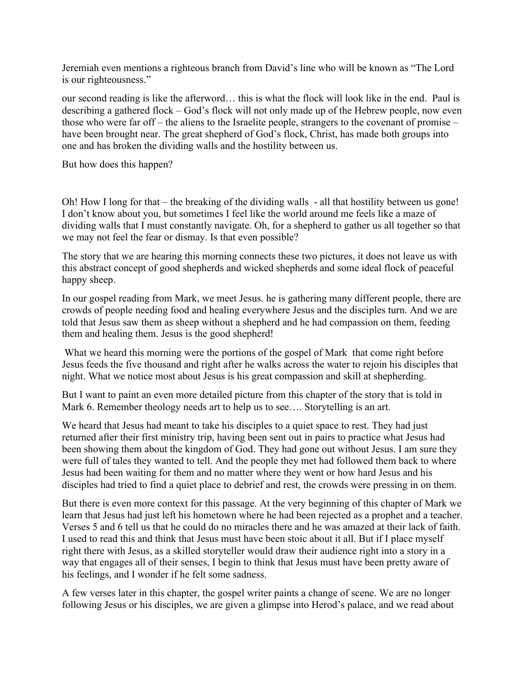Jeremiah even mentions a righteous branch from David's line who will be known as "The Lord is our righteousness."

our second reading is like the afterword… this is what the flock will look like in the end. Paul is describing a gathered flock – God's flock will not only made up of the Hebrew people, now even those who were far off – the aliens to the Israelite people, strangers to the covenant of promise – have been brought near. The great shepherd of God's flock, Christ, has made both groups into one and has broken the dividing walls and the hostility between us.

But how does this happen?

Oh! How I long for that – the breaking of the dividing walls - all that hostility between us gone! I don't know about you, but sometimes I feel like the world around me feels like a maze of dividing walls that I must constantly navigate. Oh, for a shepherd to gather us all together so that we may not feel the fear or dismay. Is that even possible?

The story that we are hearing this morning connects these two pictures, it does not leave us with this abstract concept of good shepherds and wicked shepherds and some ideal flock of peaceful happy sheep.

In our gospel reading from Mark, we meet Jesus. he is gathering many different people, there are crowds of people needing food and healing everywhere Jesus and the disciples turn. And we are told that Jesus saw them as sheep without a shepherd and he had compassion on them, feeding them and healing them. Jesus is the good shepherd!

 What we heard this morning were the portions of the gospel of Mark that come right before Jesus feeds the five thousand and right after he walks across the water to rejoin his disciples that night. What we notice most about Jesus is his great compassion and skill at shepherding.

But I want to paint an even more detailed picture from this chapter of the story that is told in Mark 6. Remember theology needs art to help us to see…. Storytelling is an art.

We heard that Jesus had meant to take his disciples to a quiet space to rest. They had just returned after their first ministry trip, having been sent out in pairs to practice what Jesus had been showing them about the kingdom of God. They had gone out without Jesus. I am sure they were full of tales they wanted to tell. And the people they met had followed them back to where Jesus had been waiting for them and no matter where they went or how hard Jesus and his disciples had tried to find a quiet place to debrief and rest, the crowds were pressing in on them.

But there is even more context for this passage. At the very beginning of this chapter of Mark we learn that Jesus had just left his hometown where he had been rejected as a prophet and a teacher. Verses 5 and 6 tell us that he could do no miracles there and he was amazed at their lack of faith. I used to read this and think that Jesus must have been stoic about it all. But if I place myself right there with Jesus, as a skilled storyteller would draw their audience right into a story in a way that engages all of their senses, I begin to think that Jesus must have been pretty aware of his feelings, and I wonder if he felt some sadness.

A few verses later in this chapter, the gospel writer paints a change of scene. We are no longer following Jesus or his disciples, we are given a glimpse into Herod's palace, and we read about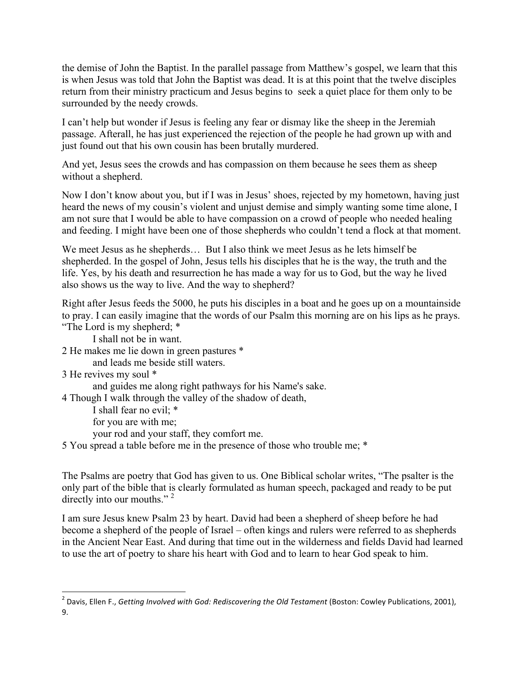the demise of John the Baptist. In the parallel passage from Matthew's gospel, we learn that this is when Jesus was told that John the Baptist was dead. It is at this point that the twelve disciples return from their ministry practicum and Jesus begins to seek a quiet place for them only to be surrounded by the needy crowds.

I can't help but wonder if Jesus is feeling any fear or dismay like the sheep in the Jeremiah passage. Afterall, he has just experienced the rejection of the people he had grown up with and just found out that his own cousin has been brutally murdered.

And yet, Jesus sees the crowds and has compassion on them because he sees them as sheep without a shepherd.

Now I don't know about you, but if I was in Jesus' shoes, rejected by my hometown, having just heard the news of my cousin's violent and unjust demise and simply wanting some time alone, I am not sure that I would be able to have compassion on a crowd of people who needed healing and feeding. I might have been one of those shepherds who couldn't tend a flock at that moment.

We meet Jesus as he shepherds... But I also think we meet Jesus as he lets himself be shepherded. In the gospel of John, Jesus tells his disciples that he is the way, the truth and the life. Yes, by his death and resurrection he has made a way for us to God, but the way he lived also shows us the way to live. And the way to shepherd?

Right after Jesus feeds the 5000, he puts his disciples in a boat and he goes up on a mountainside to pray. I can easily imagine that the words of our Psalm this morning are on his lips as he prays. "The Lord is my shepherd; \*

I shall not be in want.

2 He makes me lie down in green pastures \*

and leads me beside still waters.

```
3 He revives my soul *
```
and guides me along right pathways for his Name's sake.

4 Though I walk through the valley of the shadow of death,

I shall fear no evil; \* for you are with me;

your rod and your staff, they comfort me.

5 You spread a table before me in the presence of those who trouble me; \*

The Psalms are poetry that God has given to us. One Biblical scholar writes, "The psalter is the only part of the bible that is clearly formulated as human speech, packaged and ready to be put directly into our mouths."<sup>2</sup>

I am sure Jesus knew Psalm 23 by heart. David had been a shepherd of sheep before he had become a shepherd of the people of Israel – often kings and rulers were referred to as shepherds in the Ancient Near East. And during that time out in the wilderness and fields David had learned to use the art of poetry to share his heart with God and to learn to hear God speak to him.

 2 Davis, Ellen F., *Getting Involved with God: Rediscovering the Old Testament* (Boston: Cowley Publications, 2001), 9.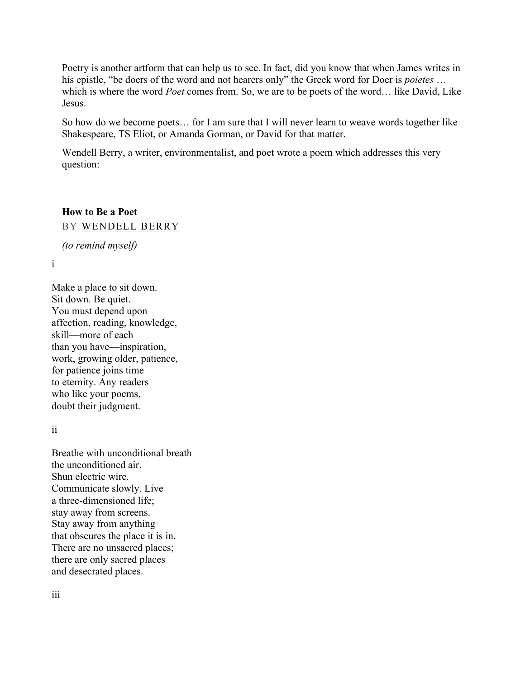Poetry is another artform that can help us to see. In fact, did you know that when James writes in his epistle, "be doers of the word and not hearers only" the Greek word for Doer is *poietes* … which is where the word *Poet* comes from. So, we are to be poets of the word… like David, Like Jesus.

So how do we become poets… for I am sure that I will never learn to weave words together like Shakespeare, TS Eliot, or Amanda Gorman, or David for that matter.

Wendell Berry, a writer, environmentalist, and poet wrote a poem which addresses this very question:

## **How to Be a Poet** BY WENDELL BERRY

*(to remind myself)*

i

Make a place to sit down. Sit down. Be quiet. You must depend upon affection, reading, knowledge, skill—more of each than you have—inspiration, work, growing older, patience, for patience joins time to eternity. Any readers who like your poems, doubt their judgment.

ii

Breathe with unconditional breath the unconditioned air. Shun electric wire. Communicate slowly. Live a three-dimensioned life; stay away from screens. Stay away from anything that obscures the place it is in. There are no unsacred places; there are only sacred places and desecrated places.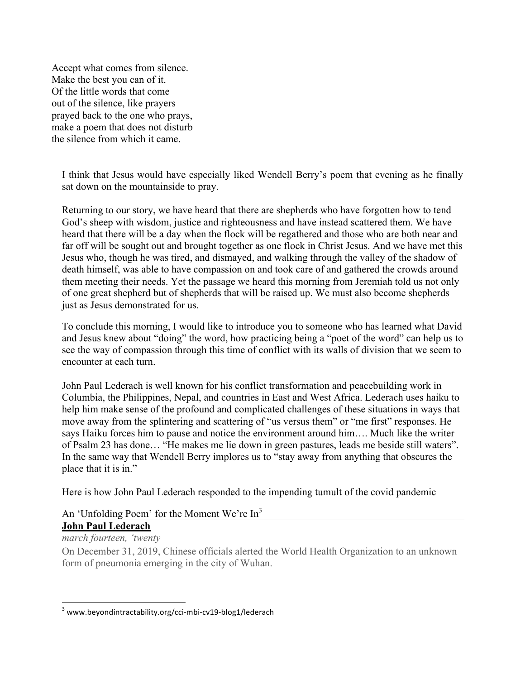Accept what comes from silence. Make the best you can of it. Of the little words that come out of the silence, like prayers prayed back to the one who prays, make a poem that does not disturb the silence from which it came.

I think that Jesus would have especially liked Wendell Berry's poem that evening as he finally sat down on the mountainside to pray.

Returning to our story, we have heard that there are shepherds who have forgotten how to tend God's sheep with wisdom, justice and righteousness and have instead scattered them. We have heard that there will be a day when the flock will be regathered and those who are both near and far off will be sought out and brought together as one flock in Christ Jesus. And we have met this Jesus who, though he was tired, and dismayed, and walking through the valley of the shadow of death himself, was able to have compassion on and took care of and gathered the crowds around them meeting their needs. Yet the passage we heard this morning from Jeremiah told us not only of one great shepherd but of shepherds that will be raised up. We must also become shepherds just as Jesus demonstrated for us.

To conclude this morning, I would like to introduce you to someone who has learned what David and Jesus knew about "doing" the word, how practicing being a "poet of the word" can help us to see the way of compassion through this time of conflict with its walls of division that we seem to encounter at each turn.

John Paul Lederach is well known for his conflict transformation and peacebuilding work in Columbia, the Philippines, Nepal, and countries in East and West Africa. Lederach uses haiku to help him make sense of the profound and complicated challenges of these situations in ways that move away from the splintering and scattering of "us versus them" or "me first" responses. He says Haiku forces him to pause and notice the environment around him…. Much like the writer of Psalm 23 has done… "He makes me lie down in green pastures, leads me beside still waters". In the same way that Wendell Berry implores us to "stay away from anything that obscures the place that it is in."

Here is how John Paul Lederach responded to the impending tumult of the covid pandemic

## An 'Unfolding Poem' for the Moment We're In<sup>3</sup> **John Paul Lederach**

## *march fourteen, 'twenty*

 

On December 31, 2019, Chinese officials alerted the World Health Organization to an unknown form of pneumonia emerging in the city of Wuhan.

<sup>&</sup>lt;sup>3</sup> www.beyondintractability.org/cci-mbi-cv19-blog1/lederach